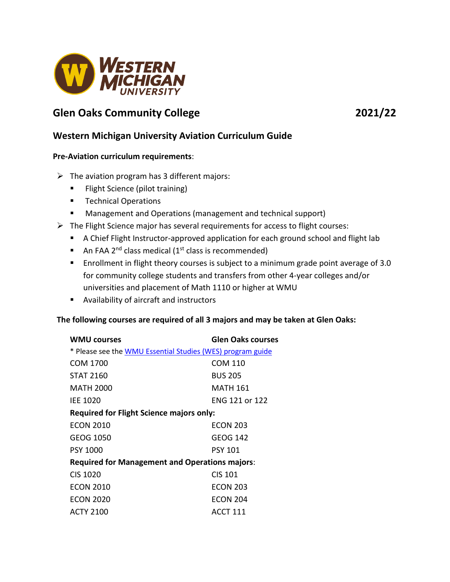

# **Glen Oaks Community College 2021/22**

# **Western Michigan University Aviation Curriculum Guide**

#### **Pre-Aviation curriculum requirements**:

- $\triangleright$  The aviation program has 3 different majors:
	- **Filight Science (pilot training)**
	- **Technical Operations**
	- **Management and Operations (management and technical support)**
- $\triangleright$  The Flight Science major has several requirements for access to flight courses:
	- A Chief Flight Instructor-approved application for each ground school and flight lab
	- An FAA 2<sup>nd</sup> class medical (1<sup>st</sup> class is recommended)
	- **Enrollment in flight theory courses is subject to a minimum grade point average of 3.0** for community college students and transfers from other 4-year colleges and/or universities and placement of Math 1110 or higher at WMU
	- Availability of aircraft and instructors

## **The following courses are required of all 3 majors and may be taken at Glen Oaks:**

| <b>WMU courses</b>                                         | <b>Glen Oaks courses</b> |
|------------------------------------------------------------|--------------------------|
| * Please see the WMU Essential Studies (WES) program guide |                          |
| COM 1700                                                   | COM 110                  |
| <b>STAT 2160</b>                                           | <b>BUS 205</b>           |
| MATH 2000                                                  | <b>MATH 161</b>          |
| <b>IEE 1020</b>                                            | ENG 121 or 122           |
| <b>Required for Flight Science majors only:</b>            |                          |
| <b>ECON 2010</b>                                           | <b>ECON 203</b>          |
| GEOG 1050                                                  | <b>GEOG 142</b>          |
| <b>PSY 1000</b>                                            | <b>PSY 101</b>           |
| <b>Required for Management and Operations majors:</b>      |                          |
| CIS 1020                                                   | <b>CIS 101</b>           |
| <b>ECON 2010</b>                                           | <b>ECON 203</b>          |
| <b>ECON 2020</b>                                           | <b>ECON 204</b>          |
| <b>ACTY 2100</b>                                           | ACCT 111                 |